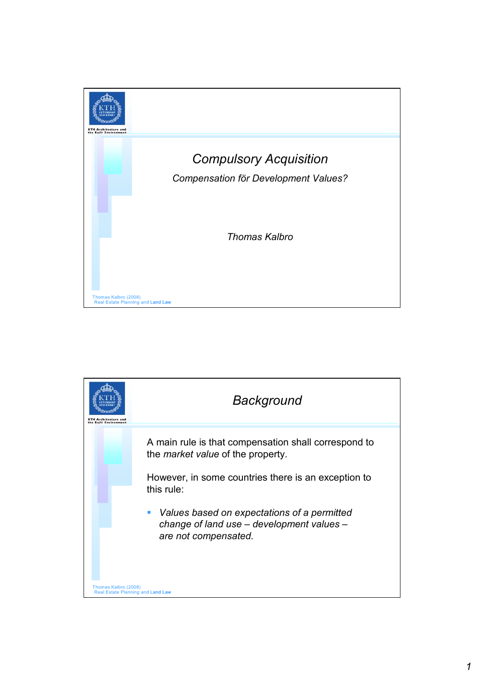

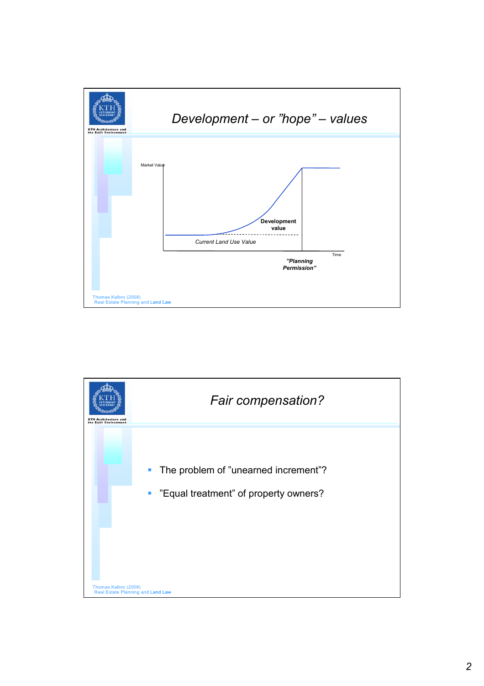

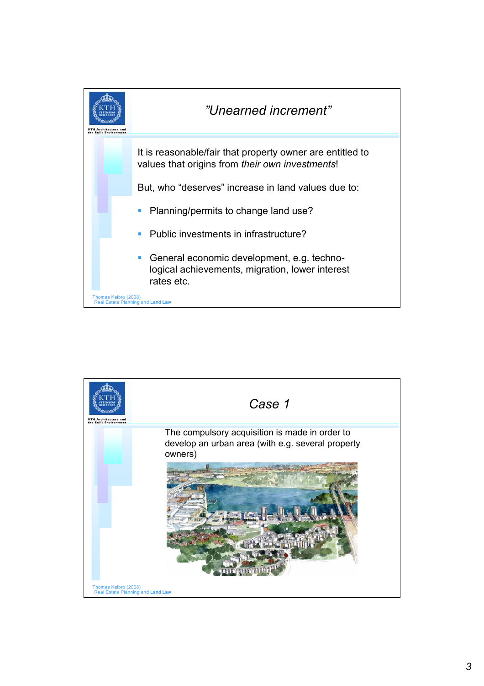

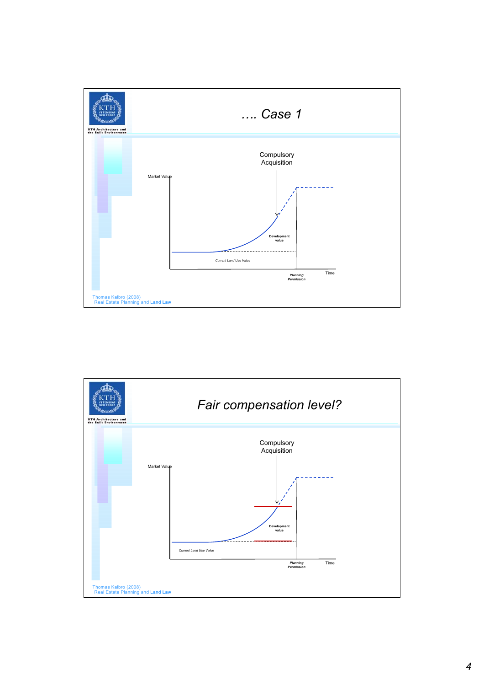

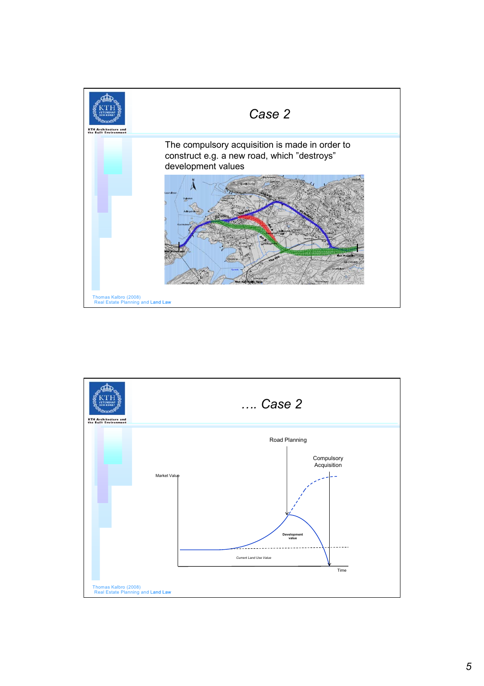

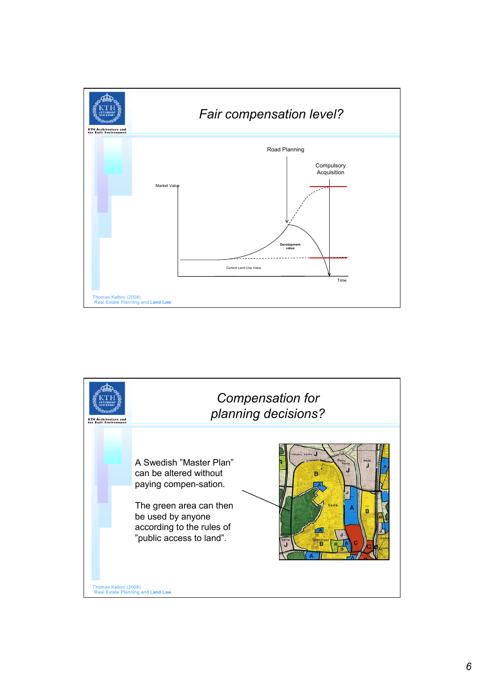